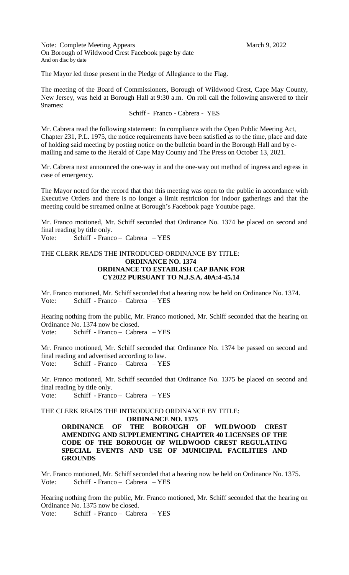Note: Complete Meeting Appears March 9, 2022 On Borough of Wildwood Crest Facebook page by date And on disc by date

The Mayor led those present in the Pledge of Allegiance to the Flag.

The meeting of the Board of Commissioners, Borough of Wildwood Crest, Cape May County, New Jersey, was held at Borough Hall at 9:30 a.m. On roll call the following answered to their 9names:

# Schiff - Franco - Cabrera - YES

Mr. Cabrera read the following statement: In compliance with the Open Public Meeting Act, Chapter 231, P.L. 1975, the notice requirements have been satisfied as to the time, place and date of holding said meeting by posting notice on the bulletin board in the Borough Hall and by emailing and same to the Herald of Cape May County and The Press on October 13, 2021.

Mr. Cabrera next announced the one-way in and the one-way out method of ingress and egress in case of emergency.

The Mayor noted for the record that that this meeting was open to the public in accordance with Executive Orders and there is no longer a limit restriction for indoor gatherings and that the meeting could be streamed online at Borough's Facebook page Youtube page.

Mr. Franco motioned, Mr. Schiff seconded that Ordinance No. 1374 be placed on second and final reading by title only.

Vote: Schiff - Franco – Cabrera – YES

# THE CLERK READS THE INTRODUCED ORDINANCE BY TITLE:  **ORDINANCE NO. 1374 ORDINANCE TO ESTABLISH CAP BANK FOR CY2022 PURSUANT TO N.J.S.A. 40A:4-45.14**

Mr. Franco motioned, Mr. Schiff seconded that a hearing now be held on Ordinance No. 1374. Vote: Schiff - Franco – Cabrera – YES

Hearing nothing from the public, Mr. Franco motioned, Mr. Schiff seconded that the hearing on Ordinance No. 1374 now be closed. Vote: Schiff - Franco – Cabrera – YES

Mr. Franco motioned, Mr. Schiff seconded that Ordinance No. 1374 be passed on second and final reading and advertised according to law. Vote: Schiff - Franco – Cabrera – YES

Mr. Franco motioned, Mr. Schiff seconded that Ordinance No. 1375 be placed on second and final reading by title only. Vote: Schiff - Franco – Cabrera – YES

THE CLERK READS THE INTRODUCED ORDINANCE BY TITLE:

 **ORDINANCE NO. 1375 ORDINANCE OF THE BOROUGH OF WILDWOOD CREST AMENDING AND SUPPLEMENTING CHAPTER 40 LICENSES OF THE CODE OF THE BOROUGH OF WILDWOOD CREST REGULATING SPECIAL EVENTS AND USE OF MUNICIPAL FACILITIES AND GROUNDS**

Mr. Franco motioned, Mr. Schiff seconded that a hearing now be held on Ordinance No. 1375. Vote: Schiff - Franco – Cabrera – YES

Hearing nothing from the public, Mr. Franco motioned, Mr. Schiff seconded that the hearing on Ordinance No. 1375 now be closed.

Vote: Schiff - Franco – Cabrera – YES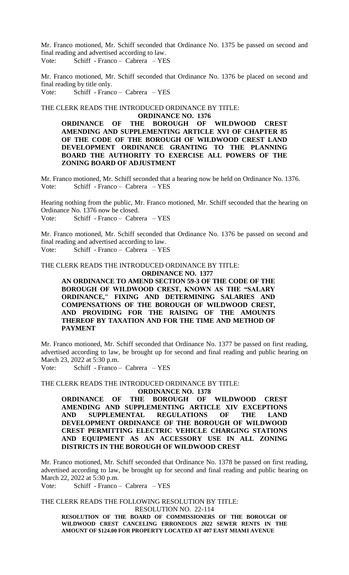Mr. Franco motioned, Mr. Schiff seconded that Ordinance No. 1375 be passed on second and final reading and advertised according to law. Vote: Schiff - Franco – Cabrera – YES

Mr. Franco motioned, Mr. Schiff seconded that Ordinance No. 1376 be placed on second and final reading by title only. Vote: Schiff - Franco – Cabrera – YES

THE CLERK READS THE INTRODUCED ORDINANCE BY TITLE: **ORDINANCE NO. 1376**

**ORDINANCE OF THE BOROUGH OF WILDWOOD CREST AMENDING AND SUPPLEMENTING ARTICLE XVI OF CHAPTER 85 OF THE CODE OF THE BOROUGH OF WILDWOOD CREST LAND DEVELOPMENT ORDINANCE GRANTING TO THE PLANNING BOARD THE AUTHORITY TO EXERCISE ALL POWERS OF THE ZONING BOARD OF ADJUSTMENT**

Mr. Franco motioned, Mr. Schiff seconded that a hearing now be held on Ordinance No. 1376. Vote: Schiff - Franco – Cabrera – YES

Hearing nothing from the public, Mr. Franco motioned, Mr. Schiff seconded that the hearing on Ordinance No. 1376 now be closed. Vote: Schiff - Franco – Cabrera – YES

Mr. Franco motioned, Mr. Schiff seconded that Ordinance No. 1376 be passed on second and final reading and advertised according to law.

Vote: Schiff - Franco – Cabrera – YES

THE CLERK READS THE INTRODUCED ORDINANCE BY TITLE: **ORDINANCE NO. 1377**

> **AN ORDINANCE TO AMEND SECTION 59-3 OF THE CODE OF THE BOROUGH OF WILDWOOD CREST, KNOWN AS THE "SALARY ORDINANCE," FIXING AND DETERMINING SALARIES AND COMPENSATIONS OF THE BOROUGH OF WILDWOOD CREST, AND PROVIDING FOR THE RAISING OF THE AMOUNTS THEREOF BY TAXATION AND FOR THE TIME AND METHOD OF PAYMENT**

Mr. Franco motioned, Mr. Schiff seconded that Ordinance No. 1377 be passed on first reading, advertised according to law, be brought up for second and final reading and public hearing on March 23, 2022 at 5:30 p.m.

Vote: Schiff - Franco – Cabrera – YES

THE CLERK READS THE INTRODUCED ORDINANCE BY TITLE:

**ORDINANCE NO. 1378**

**ORDINANCE OF THE BOROUGH OF WILDWOOD CREST AMENDING AND SUPPLEMENTING ARTICLE XIV EXCEPTIONS AND SUPPLEMENTAL REGULATIONS OF THE LAND DEVELOPMENT ORDINANCE OF THE BOROUGH OF WILDWOOD CREST PERMITTING ELECTRIC VEHICLE CHARGING STATIONS AND EQUIPMENT AS AN ACCESSORY USE IN ALL ZONING DISTRICTS IN THE BOROUGH OF WILDWOOD CREST**

Mr. Franco motioned, Mr. Schiff seconded that Ordinance No. 1378 be passed on first reading, advertised according to law, be brought up for second and final reading and public hearing on March 22, 2022 at 5:30 p.m.

Vote: Schiff - Franco – Cabrera – YES

THE CLERK READS THE FOLLOWING RESOLUTION BY TITLE:

RESOLUTION NO. 22-114

**RESOLUTION OF THE BOARD OF COMMISSIONERS OF THE BOROUGH OF WILDWOOD CREST CANCELING ERRONEOUS 2022 SEWER RENTS IN THE AMOUNT OF \$124.00 FOR PROPERTY LOCATED AT 407 EAST MIAMI AVENUE**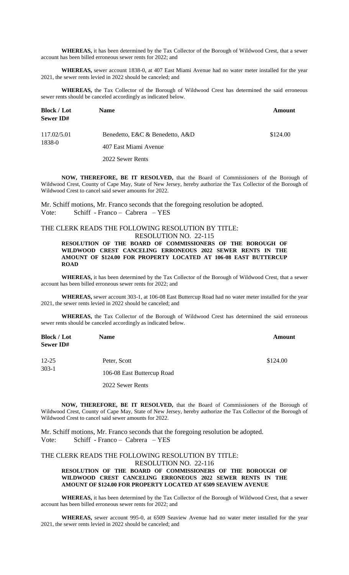**WHEREAS,** it has been determined by the Tax Collector of the Borough of Wildwood Crest, that a sewer account has been billed erroneous sewer rents for 2022; and

**WHEREAS,** sewer account 1838-0, at 407 East Miami Avenue had no water meter installed for the year 2021, the sewer rents levied in 2022 should be canceled; and

**WHEREAS,** the Tax Collector of the Borough of Wildwood Crest has determined the said erroneous sewer rents should be canceled accordingly as indicated below.

| <b>Block</b> / Lot<br><b>Sewer ID#</b> | <b>Name</b>                     | Amount   |
|----------------------------------------|---------------------------------|----------|
| 117.02/5.01                            | Benedetto, E&C & Benedetto, A&D | \$124.00 |
| 1838-0                                 | 407 East Miami Avenue           |          |

2022 Sewer Rents

**NOW, THEREFORE, BE IT RESOLVED,** that the Board of Commissioners of the Borough of Wildwood Crest, County of Cape May, State of New Jersey, hereby authorize the Tax Collector of the Borough of Wildwood Crest to cancel said sewer amounts for 2022.

Mr. Schiff motions, Mr. Franco seconds that the foregoing resolution be adopted. Vote: Schiff - Franco – Cabrera – YES

#### THE CLERK READS THE FOLLOWING RESOLUTION BY TITLE: RESOLUTION NO. 22-115

**RESOLUTION OF THE BOARD OF COMMISSIONERS OF THE BOROUGH OF WILDWOOD CREST CANCELING ERRONEOUS 2022 SEWER RENTS IN THE AMOUNT OF \$124.00 FOR PROPERTY LOCATED AT 106-08 EAST BUTTERCUP ROAD**

**WHEREAS,** it has been determined by the Tax Collector of the Borough of Wildwood Crest, that a sewer account has been billed erroneous sewer rents for 2022; and

**WHEREAS,** sewer account 303-1, at 106-08 East Buttercup Road had no water meter installed for the year 2021, the sewer rents levied in 2022 should be canceled; and

**WHEREAS,** the Tax Collector of the Borough of Wildwood Crest has determined the said erroneous sewer rents should be canceled accordingly as indicated below.

| <b>Block / Lot</b><br><b>Sewer ID#</b> | <b>Name</b>                | <b>Amount</b> |
|----------------------------------------|----------------------------|---------------|
| $12 - 25$                              | Peter, Scott               | \$124.00      |
| $303-1$                                | 106-08 East Buttercup Road |               |

2022 Sewer Rents

**NOW, THEREFORE, BE IT RESOLVED,** that the Board of Commissioners of the Borough of Wildwood Crest, County of Cape May, State of New Jersey, hereby authorize the Tax Collector of the Borough of Wildwood Crest to cancel said sewer amounts for 2022.

Mr. Schiff motions, Mr. Franco seconds that the foregoing resolution be adopted. Vote: Schiff - Franco – Cabrera – YES

# THE CLERK READS THE FOLLOWING RESOLUTION BY TITLE: RESOLUTION NO. 22-116

# **RESOLUTION OF THE BOARD OF COMMISSIONERS OF THE BOROUGH OF WILDWOOD CREST CANCELING ERRONEOUS 2022 SEWER RENTS IN THE AMOUNT OF \$124.00 FOR PROPERTY LOCATED AT 6509 SEAVIEW AVENUE**

**WHEREAS,** it has been determined by the Tax Collector of the Borough of Wildwood Crest, that a sewer account has been billed erroneous sewer rents for 2022; and

**WHEREAS,** sewer account 995-0, at 6509 Seaview Avenue had no water meter installed for the year 2021, the sewer rents levied in 2022 should be canceled; and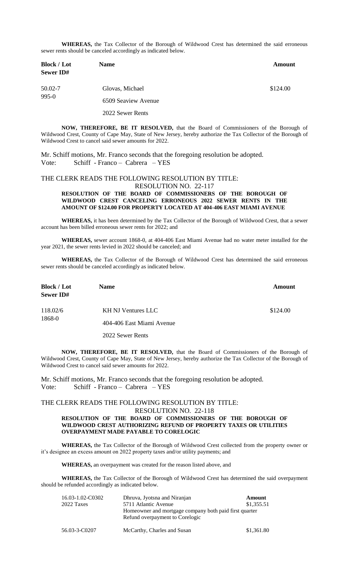**WHEREAS,** the Tax Collector of the Borough of Wildwood Crest has determined the said erroneous sewer rents should be canceled accordingly as indicated below.

| <b>Block / Lot</b><br><b>Sewer ID#</b> | <b>Name</b>         | <b>Amount</b> |
|----------------------------------------|---------------------|---------------|
| 50.02-7                                | Glovas, Michael     | \$124.00      |
| $995 - 0$                              | 6509 Seaview Avenue |               |
|                                        | 2022 Sewer Rents    |               |

**NOW, THEREFORE, BE IT RESOLVED,** that the Board of Commissioners of the Borough of Wildwood Crest, County of Cape May, State of New Jersey, hereby authorize the Tax Collector of the Borough of Wildwood Crest to cancel said sewer amounts for 2022.

Mr. Schiff motions, Mr. Franco seconds that the foregoing resolution be adopted. Vote: Schiff - Franco – Cabrera – YES

## THE CLERK READS THE FOLLOWING RESOLUTION BY TITLE: RESOLUTION NO. 22-117

**RESOLUTION OF THE BOARD OF COMMISSIONERS OF THE BOROUGH OF WILDWOOD CREST CANCELING ERRONEOUS 2022 SEWER RENTS IN THE AMOUNT OF \$124.00 FOR PROPERTY LOCATED AT 404-406 EAST MIAMI AVENUE**

**WHEREAS,** it has been determined by the Tax Collector of the Borough of Wildwood Crest, that a sewer account has been billed erroneous sewer rents for 2022; and

**WHEREAS,** sewer account 1868-0, at 404-406 East Miami Avenue had no water meter installed for the year 2021, the sewer rents levied in 2022 should be canceled; and

**WHEREAS,** the Tax Collector of the Borough of Wildwood Crest has determined the said erroneous sewer rents should be canceled accordingly as indicated below.

| <b>Block / Lot</b> | <b>Name</b>               | Amount   |
|--------------------|---------------------------|----------|
| <b>Sewer ID#</b>   |                           |          |
| 118.02/6           | KH NJ Ventures LLC        | \$124.00 |
| 1868-0             | 404-406 East Miami Avenue |          |

2022 Sewer Rents

**NOW, THEREFORE, BE IT RESOLVED,** that the Board of Commissioners of the Borough of Wildwood Crest, County of Cape May, State of New Jersey, hereby authorize the Tax Collector of the Borough of Wildwood Crest to cancel said sewer amounts for 2022.

Mr. Schiff motions, Mr. Franco seconds that the foregoing resolution be adopted. Vote: Schiff - Franco – Cabrera – YES

## THE CLERK READS THE FOLLOWING RESOLUTION BY TITLE:

#### RESOLUTION NO. 22-118 **RESOLUTION OF THE BOARD OF COMMISSIONERS OF THE BOROUGH OF WILDWOOD CREST AUTHORIZING REFUND OF PROPERTY TAXES OR UTILITIES OVERPAYMENT MADE PAYABLE TO CORELOGIC**

**WHEREAS,** the Tax Collector of the Borough of Wildwood Crest collected from the property owner or it's designee an excess amount on 2022 property taxes and/or utility payments; and

**WHEREAS,** an overpayment was created for the reason listed above, and

**WHEREAS,** the Tax Collector of the Borough of Wildwood Crest has determined the said overpayment should be refunded accordingly as indicated below.

| 16.03-1.02-C0302 | Dhruva, Jyotsna and Niranjan                                                              | Amount     |
|------------------|-------------------------------------------------------------------------------------------|------------|
| 2022 Taxes       | 5711 Atlantic Avenue                                                                      | \$1,355.51 |
|                  | Homeowner and mortgage company both paid first quarter<br>Refund overpayment to Corelogic |            |
| 56.03-3-C0207    | McCarthy, Charles and Susan                                                               | \$1,361.80 |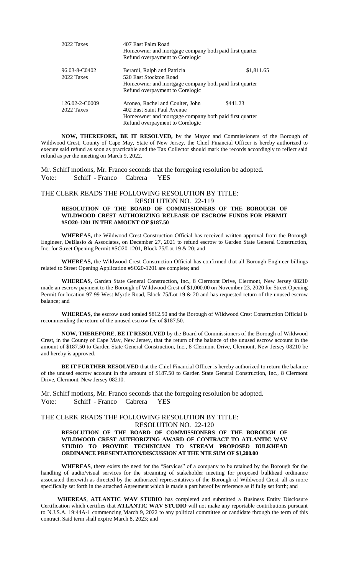| 2022 Taxes                   | 407 East Palm Road<br>Homeowner and mortgage company both paid first quarter<br>Refund overpayment to Corelogic                                             |            |
|------------------------------|-------------------------------------------------------------------------------------------------------------------------------------------------------------|------------|
| 96.03-8-C0402<br>2022 Taxes  | Berardi, Ralph and Patricia<br>520 East Stockton Road<br>Homeowner and mortgage company both paid first quarter<br>Refund overpayment to Corelogic          | \$1,811.65 |
| 126.02-2-C0009<br>2022 Taxes | Aroneo, Rachel and Coulter, John<br>402 East Saint Paul Avenue<br>Homeowner and mortgage company both paid first quarter<br>Refund overpayment to Corelogic | \$441.23   |

**NOW, THEREFORE, BE IT RESOLVED,** by the Mayor and Commissioners of the Borough of Wildwood Crest, County of Cape May, State of New Jersey, the Chief Financial Officer is hereby authorized to execute said refund as soon as practicable and the Tax Collector should mark the records accordingly to reflect said refund as per the meeting on March 9, 2022.

Mr. Schiff motions, Mr. Franco seconds that the foregoing resolution be adopted. Vote: Schiff - Franco – Cabrera – YES

# THE CLERK READS THE FOLLOWING RESOLUTION BY TITLE: RESOLUTION NO. 22-119

#### **RESOLUTION OF THE BOARD OF COMMISSIONERS OF THE BOROUGH OF WILDWOOD CREST AUTHORIZING RELEASE OF ESCROW FUNDS FOR PERMIT #SO20-1201 IN THE AMOUNT OF \$187.50**

**WHEREAS,** the Wildwood Crest Construction Official has received written approval from the Borough Engineer, DeBlasio & Associates, on December 27, 2021 to refund escrow to Garden State General Construction, Inc. for Street Opening Permit #SO20-1201, Block 75/Lot 19 & 20; and

**WHEREAS,** the Wildwood Crest Construction Official has confirmed that all Borough Engineer billings related to Street Opening Application #SO20-1201 are complete; and

**WHEREAS,** Garden State General Construction, Inc., 8 Clermont Drive, Clermont, New Jersey 08210 made an escrow payment to the Borough of Wildwood Crest of \$1,000.00 on November 23, 2020 for Street Opening Permit for location 97-99 West Myrtle Road, Block 75/Lot 19 & 20 and has requested return of the unused escrow balance; and

**WHEREAS,** the escrow used totaled \$812.50 and the Borough of Wildwood Crest Construction Official is recommending the return of the unused escrow fee of \$187.50.

**NOW, THEREFORE, BE IT RESOLVED** by the Board of Commissioners of the Borough of Wildwood Crest, in the County of Cape May, New Jersey, that the return of the balance of the unused escrow account in the amount of \$187.50 to Garden State General Construction, Inc., 8 Clermont Drive, Clermont, New Jersey 08210 be and hereby is approved.

**BE IT FURTHER RESOLVED** that the Chief Financial Officer is hereby authorized to return the balance of the unused escrow account in the amount of \$187.50 to Garden State General Construction, Inc., 8 Clermont Drive, Clermont, New Jersey 08210.

Mr. Schiff motions, Mr. Franco seconds that the foregoing resolution be adopted. Vote: Schiff - Franco – Cabrera – YES

# THE CLERK READS THE FOLLOWING RESOLUTION BY TITLE:

RESOLUTION NO. 22-120

#### **RESOLUTION OF THE BOARD OF COMMISSIONERS OF THE BOROUGH OF WILDWOOD CREST AUTHORIZING AWARD OF CONTRACT TO ATLANTIC WAV STUDIO TO PROVIDE TECHNICIAN TO STREAM PROPOSED BULKHEAD ORDINANCE PRESENTATION/DISCUSSION AT THE NTE SUM OF \$1,200.00**

**WHEREAS**, there exists the need for the "Services" of a company to be retained by the Borough for the handling of audio/visual services for the streaming of stakeholder meeting for proposed bulkhead ordinance associated therewith as directed by the authorized representatives of the Borough of Wildwood Crest, all as more specifically set forth in the attached Agreement which is made a part hereof by reference as if fully set forth; and

**WHEREAS**, **ATLANTIC WAV STUDIO** has completed and submitted a Business Entity Disclosure Certification which certifies that **ATLANTIC WAV STUDIO** will not make any reportable contributions pursuant to N.J.S.A. 19:44A-1 commencing March 9, 2022 to any political committee or candidate through the term of this contract. Said term shall expire March 8, 2023; and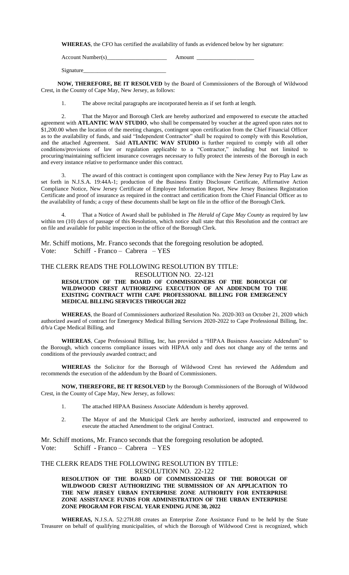**WHEREAS**, the CFO has certified the availability of funds as evidenced below by her signature:

Account Number(s)\_\_\_\_\_\_\_\_\_\_\_\_\_\_\_\_\_\_\_\_\_ Amount \_\_\_\_\_\_\_\_\_\_\_\_\_\_\_\_\_\_\_\_

Signature\_\_\_\_\_\_\_\_\_\_\_\_\_\_\_\_\_\_\_\_\_\_\_\_\_\_\_\_\_

**NOW, THEREFORE, BE IT RESOLVED** by the Board of Commissioners of the Borough of Wildwood Crest, in the County of Cape May, New Jersey, as follows:

1. The above recital paragraphs are incorporated herein as if set forth at length.

2. That the Mayor and Borough Clerk are hereby authorized and empowered to execute the attached agreement with **ATLANTIC WAV STUDIO**, who shall be compensated by voucher at the agreed upon rates not to \$1,200.00 when the location of the meeting changes, contingent upon certification from the Chief Financial Officer as to the availability of funds, and said "Independent Contractor" shall be required to comply with this Resolution, and the attached Agreement. Said **ATLANTIC WAV STUDIO** is further required to comply with all other conditions/provisions of law or regulation applicable to a "Contractor," including but not limited to procuring/maintaining sufficient insurance coverages necessary to fully protect the interests of the Borough in each and every instance relative to performance under this contract.

3. The award of this contract is contingent upon compliance with the New Jersey Pay to Play Law as set forth in N.J.S.A. 19:44A-1; production of the Business Entity Disclosure Certificate, Affirmative Action Compliance Notice, New Jersey Certificate of Employee Information Report, New Jersey Business Registration Certificate and proof of insurance as required in the contract and certification from the Chief Financial Officer as to the availability of funds; a copy of these documents shall be kept on file in the office of the Borough Clerk.

4. That a Notice of Award shall be published in *The Herald of Cape May County* as required by law within ten (10) days of passage of this Resolution, which notice shall state that this Resolution and the contract are on file and available for public inspection in the office of the Borough Clerk.

Mr. Schiff motions, Mr. Franco seconds that the foregoing resolution be adopted. Vote: Schiff - Franco – Cabrera – YES

# THE CLERK READS THE FOLLOWING RESOLUTION BY TITLE:

RESOLUTION NO. 22-121

#### **RESOLUTION OF THE BOARD OF COMMISSIONERS OF THE BOROUGH OF WILDWOOD CREST AUTHORIZING EXECUTION OF AN ADDENDUM TO THE EXISTING CONTRACT WITH CAPE PROFESSIONAL BILLING FOR EMERGENCY MEDICAL BILLING SERVICES THROUGH 2022**

**WHEREAS**, the Board of Commissioners authorized Resolution No. 2020-303 on October 21, 2020 which authorized award of contract for Emergency Medical Billing Services 2020-2022 to Cape Professional Billing, Inc. d/b/a Cape Medical Billing, and

**WHEREAS**, Cape Professional Billing, Inc, has provided a "HIPAA Business Associate Addendum" to the Borough, which concerns compliance issues with HIPAA only and does not change any of the terms and conditions of the previously awarded contract; and

**WHEREAS** the Solicitor for the Borough of Wildwood Crest has reviewed the Addendum and recommends the execution of the addendum by the Board of Commissioners.

**NOW, THEREFORE, BE IT RESOLVED** by the Borough Commissioners of the Borough of Wildwood Crest, in the County of Cape May, New Jersey, as follows:

- 1. The attached HIPAA Business Associate Addendum is hereby approved.
- 2. The Mayor of and the Municipal Clerk are hereby authorized, instructed and empowered to execute the attached Amendment to the original Contract.

Mr. Schiff motions, Mr. Franco seconds that the foregoing resolution be adopted. Vote: Schiff - Franco – Cabrera – YES

#### THE CLERK READS THE FOLLOWING RESOLUTION BY TITLE: RESOLUTION NO. 22-122

**RESOLUTION OF THE BOARD OF COMMISSIONERS OF THE BOROUGH OF WILDWOOD CREST AUTHORIZING THE SUBMISSION OF AN APPLICATION TO THE NEW JERSEY URBAN ENTERPRISE ZONE AUTHORITY FOR ENTERPRISE ZONE ASSISTANCE FUNDS FOR ADMINISTRATION OF THE URBAN ENTERPRISE ZONE PROGRAM FOR FISCAL YEAR ENDING JUNE 30, 2022**

**WHEREAS,** N.J.S.A. 52:27H.88 creates an Enterprise Zone Assistance Fund to be held by the State Treasurer on behalf of qualifying municipalities, of which the Borough of Wildwood Crest is recognized, which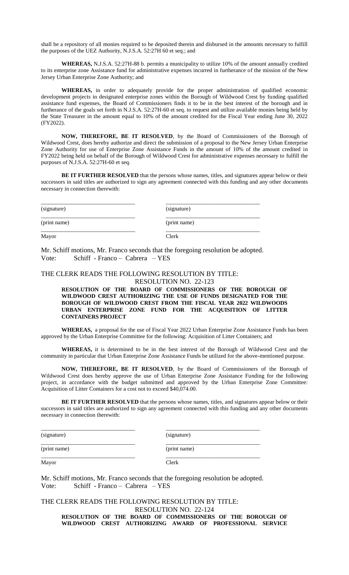shall be a repository of all monies required to be deposited therein and disbursed in the amounts necessary to fulfill the purposes of the UEZ Authority, N.J.S.A. 52:27H 60 et seq.; and

**WHEREAS,** N.J.S.A. 52:27H-88 b. permits a municipality to utilize 10% of the amount annually credited to its enterprise zone Assistance fund for administrative expenses incurred in furtherance of the mission of the New Jersey Urban Enterprise Zone Authority; and

**WHEREAS,** in order to adequately provide for the proper administration of qualified economic development projects in designated enterprise zones within the Borough of Wildwood Crest by funding qualified assistance fund expenses, the Board of Commissioners finds it to be in the best interest of the borough and in furtherance of the goals set forth in N.J.S.A. 52:27H-60 et seq. to request and utilize available monies being held by the State Treasurer in the amount equal to 10% of the amount credited for the Fiscal Year ending June 30, 2022 (FY2022).

**NOW, THEREFORE, BE IT RESOLVED**, by the Board of Commissioners of the Borough of Wildwood Crest, does hereby authorize and direct the submission of a proposal to the New Jersey Urban Enterprise Zone Authority for use of Enterprise Zone Assistance Funds in the amount of 10% of the amount credited in FY2022 being held on behalf of the Borough of Wildwood Crest for administrative expenses necessary to fulfill the purposes of N.J.S.A. 52:27H-60 et seq.

**BE IT FURTHER RESOLVED** that the persons whose names, titles, and signatures appear below or their successors in said titles are authorized to sign any agreement connected with this funding and any other documents necessary in connection therewith:

| (signature)  | (signature)  |
|--------------|--------------|
| (print name) | (print name) |
| Mayor        | Clerk        |

Mr. Schiff motions, Mr. Franco seconds that the foregoing resolution be adopted. Vote: Schiff - Franco – Cabrera – YES

### THE CLERK READS THE FOLLOWING RESOLUTION BY TITLE: RESOLUTION NO. 22-123

**RESOLUTION OF THE BOARD OF COMMISSIONERS OF THE BOROUGH OF WILDWOOD CREST AUTHORIZING THE USE OF FUNDS DESIGNATED FOR THE BOROUGH OF WILDWOOD CREST FROM THE FISCAL YEAR 2022 WILDWOODS URBAN ENTERPRISE ZONE FUND FOR THE ACQUISITION OF LITTER CONTAINERS PROJECT**

**WHEREAS,** a proposal for the use of Fiscal Year 2022 Urban Enterprise Zone Assistance Funds has been approved by the Urban Enterprise Committee for the following: Acquisition of Litter Containers; and

**WHEREAS,** it is determined to be in the best interest of the Borough of Wildwood Crest and the community in particular that Urban Enterprise Zone Assistance Funds be utilized for the above-mentioned purpose.

**NOW, THEREFORE, BE IT RESOLVED**, by the Board of Commissioners of the Borough of Wildwood Crest does hereby approve the use of Urban Enterprise Zone Assistance Funding for the following project, in accordance with the budget submitted and approved by the Urban Enterprise Zone Committee: Acquisition of Litter Containers for a cost not to exceed \$40,074.00.

**BE IT FURTHER RESOLVED** that the persons whose names, titles, and signatures appear below or their successors in said titles are authorized to sign any agreement connected with this funding and any other documents necessary in connection therewith:

| (signature)  | (signature)  |
|--------------|--------------|
| (print name) | (print name) |
| Mayor        | Clerk        |

Mr. Schiff motions, Mr. Franco seconds that the foregoing resolution be adopted. Vote: Schiff - Franco – Cabrera – YES

THE CLERK READS THE FOLLOWING RESOLUTION BY TITLE: RESOLUTION NO. 22-124 **RESOLUTION OF THE BOARD OF COMMISSIONERS OF THE BOROUGH OF WILDWOOD CREST AUTHORIZING AWARD OF PROFESSIONAL SERVICE**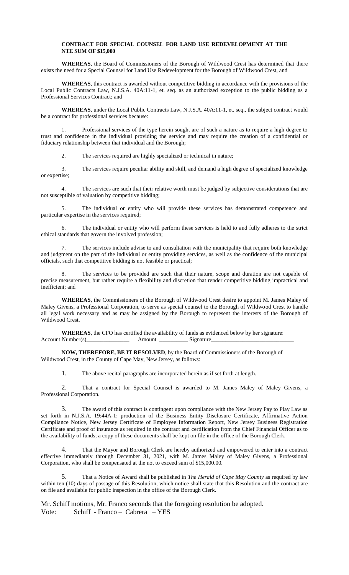#### **CONTRACT FOR SPECIAL COUNSEL FOR LAND USE REDEVELOPMENT AT THE NTE SUM OF \$15,000**

**WHEREAS**, the Board of Commissioners of the Borough of Wildwood Crest has determined that there exists the need for a Special Counsel for Land Use Redevelopment for the Borough of Wildwood Crest, and

**WHEREAS**, this contract is awarded without competitive bidding in accordance with the provisions of the Local Public Contracts Law, N.J.S.A. 40A:11-1, et. seq. as an authorized exception to the public bidding as a Professional Services Contract; and

**WHEREAS**, under the Local Public Contracts Law, N.J.S.A. 40A:11-1, et. seq., the subject contract would be a contract for professional services because:

1. Professional services of the type herein sought are of such a nature as to require a high degree to trust and confidence in the individual providing the service and may require the creation of a confidential or fiduciary relationship between that individual and the Borough;

2. The services required are highly specialized or technical in nature;

3. The services require peculiar ability and skill, and demand a high degree of specialized knowledge or expertise;

4. The services are such that their relative worth must be judged by subjective considerations that are not susceptible of valuation by competitive bidding;

5. The individual or entity who will provide these services has demonstrated competence and particular expertise in the services required;

6. The individual or entity who will perform these services is held to and fully adheres to the strict ethical standards that govern the involved profession;

7. The services include advise to and consultation with the municipality that require both knowledge and judgment on the part of the individual or entity providing services, as well as the confidence of the municipal officials, such that competitive bidding is not feasible or practical;

The services to be provided are such that their nature, scope and duration are not capable of precise measurement, but rather require a flexibility and discretion that render competitive bidding impractical and inefficient; and

**WHEREAS**, the Commissioners of the Borough of Wildwood Crest desire to appoint M. James Maley of Maley Givens, a Professional Corporation, to serve as special counsel to the Borough of Wildwood Crest to handle all legal work necessary and as may be assigned by the Borough to represent the interests of the Borough of Wildwood Crest.

**WHEREAS**, the CFO has certified the availability of funds as evidenced below by her signature: Account Number(s)\_\_\_\_\_\_\_\_\_\_\_\_\_\_\_ Amount \_\_\_\_\_\_\_\_\_\_ Signature\_\_\_\_\_\_\_\_\_\_\_\_\_\_\_\_\_\_\_\_\_\_\_\_\_\_\_\_\_

**NOW, THEREFORE, BE IT RESOLVED**, by the Board of Commissioners of the Borough of Wildwood Crest, in the County of Cape May, New Jersey, as follows:

1. The above recital paragraphs are incorporated herein as if set forth at length.

2. That a contract for Special Counsel is awarded to M. James Maley of Maley Givens, a Professional Corporation.

3. The award of this contract is contingent upon compliance with the New Jersey Pay to Play Law as set forth in N.J.S.A. 19:44A-1; production of the Business Entity Disclosure Certificate, Affirmative Action Compliance Notice, New Jersey Certificate of Employee Information Report, New Jersey Business Registration Certificate and proof of insurance as required in the contract and certification from the Chief Financial Officer as to the availability of funds; a copy of these documents shall be kept on file in the office of the Borough Clerk.

4. That the Mayor and Borough Clerk are hereby authorized and empowered to enter into a contract effective immediately through December 31, 2021, with M. James Maley of Maley Givens, a Professional Corporation, who shall be compensated at the not to exceed sum of \$15,000.00.

5. That a Notice of Award shall be published in *The Herald of Cape May County* as required by law within ten (10) days of passage of this Resolution, which notice shall state that this Resolution and the contract are on file and available for public inspection in the office of the Borough Clerk.

Mr. Schiff motions, Mr. Franco seconds that the foregoing resolution be adopted. Vote: Schiff - Franco – Cabrera – YES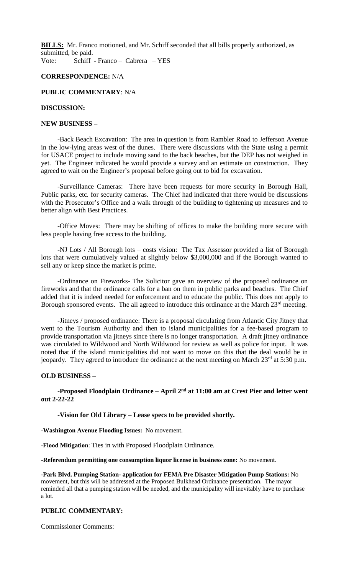**BILLS:** Mr. Franco motioned, and Mr. Schiff seconded that all bills properly authorized, as submitted, be paid. Vote: Schiff - Franco – Cabrera – YES

**CORRESPONDENCE:** N/A

## **PUBLIC COMMENTARY**: N/A

## **DISCUSSION:**

## **NEW BUSINESS –**

-Back Beach Excavation: The area in question is from Rambler Road to Jefferson Avenue in the low-lying areas west of the dunes. There were discussions with the State using a permit for USACE project to include moving sand to the back beaches, but the DEP has not weighed in yet. The Engineer indicated he would provide a survey and an estimate on construction. They agreed to wait on the Engineer's proposal before going out to bid for excavation.

-Surveillance Cameras: There have been requests for more security in Borough Hall, Public parks, etc. for security cameras. The Chief had indicated that there would be discussions with the Prosecutor's Office and a walk through of the building to tightening up measures and to better align with Best Practices.

-Office Moves: There may be shifting of offices to make the building more secure with less people having free access to the building.

-NJ Lots / All Borough lots – costs vision: The Tax Assessor provided a list of Borough lots that were cumulatively valued at slightly below \$3,000,000 and if the Borough wanted to sell any or keep since the market is prime.

-Ordinance on Fireworks- The Solicitor gave an overview of the proposed ordinance on fireworks and that the ordinance calls for a ban on them in public parks and beaches. The Chief added that it is indeed needed for enforcement and to educate the public. This does not apply to Borough sponsored events. The all agreed to introduce this ordinance at the March 23<sup>rd</sup> meeting.

-Jitneys / proposed ordinance: There is a proposal circulating from Atlantic City Jitney that went to the Tourism Authority and then to island municipalities for a fee-based program to provide transportation via jitneys since there is no longer transportation. A draft jitney ordinance was circulated to Wildwood and North Wildwood for review as well as police for input. It was noted that if the island municipalities did not want to move on this that the deal would be in jeopardy. They agreed to introduce the ordinance at the next meeting on March 23<sup>rd</sup> at 5:30 p.m.

### **OLD BUSINESS –**

**-Proposed Floodplain Ordinance – April 2<sup>nd</sup> at 11:00 am at Crest Pier and letter went out 2-22-22**

#### **-Vision for Old Library – Lease specs to be provided shortly.**

-**Washington Avenue Flooding Issues:** No movement.

-**Flood Mitigation**: Ties in with Proposed Floodplain Ordinance.

-**Referendum permitting one consumption liquor license in business zone:** No movement.

-**Park Blvd. Pumping Station- application for FEMA Pre Disaster Mitigation Pump Stations:** No movement, but this will be addressed at the Proposed Bulkhead Ordinance presentation. The mayor reminded all that a pumping station will be needed, and the municipality will inevitably have to purchase a lot.

## **PUBLIC COMMENTARY:**

Commissioner Comments: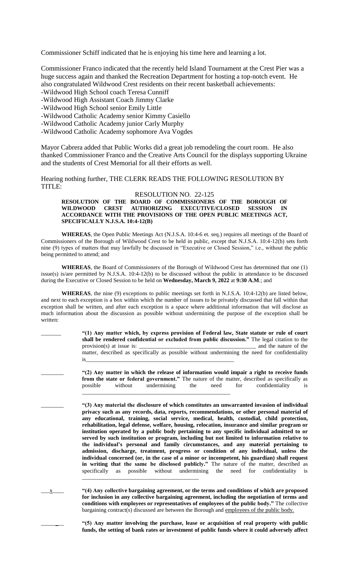Commissioner Schiff indicated that he is enjoying his time here and learning a lot.

Commissioner Franco indicated that the recently held Island Tournament at the Crest Pier was a huge success again and thanked the Recreation Department for hosting a top-notch event. He also congratulated Wildwood Crest residents on their recent basketball achievements:

-Wildwood High School coach Teresa Cunniff

-Wildwood High Assistant Coach Jimmy Clarke

-Wildwood High School senior Emily Little

-Wildwood Catholic Academy senior Kimmy Casiello

- -Wildwood Catholic Academy junior Carly Murphy
- -Wildwood Catholic Academy sophomore Ava Vogdes

Mayor Cabrera added that Public Works did a great job remodeling the court room. He also thanked Commissioner Franco and the Creative Arts Council for the displays supporting Ukraine and the students of Crest Memorial for all their efforts as well.

Hearing nothing further, THE CLERK READS THE FOLLOWING RESOLUTION BY TITLE:

# RESOLUTION NO. 22-125

#### **RESOLUTION OF THE BOARD OF COMMISSIONERS OF THE BOROUGH OF WILDWOOD CREST AUTHORIZING EXECUTIVE/CLOSED SESSION IN ACCORDANCE WITH THE PROVISIONS OF THE OPEN PUBLIC MEETINGS ACT, SPECIFICALLY N.J.S.A. 10:4-12(B)**

**WHEREAS**, the Open Public Meetings Act (N.J.S.A. 10:4-6 et. seq.) requires all meetings of the Board of Commissioners of the Borough of Wildwood Crest to be held in public, except that N.J.S.A. 10:4-12(b) sets forth nine (9) types of matters that may lawfully be discussed in "Executive or Closed Session," i.e., without the public being permitted to attend; and

**WHEREAS**, the Board of Commissioners of the Borough of Wildwood Crest has determined that one (1) issue(s) is/are permitted by N.J.S.A. 10:4-12(b) to be discussed without the public in attendance to be discussed during the Executive or Closed Session to be held on **Wednesday, March 9, 2022** at **9:30 A.M**.; and

**WHEREAS**, the nine (9) exceptions to public meetings set forth in N.J.S.A. 10:4-12(b) are listed below, and next to each exception is a box within which the number of issues to be privately discussed that fall within that exception shall be written, and after each exception is a space where additional information that will disclose as much information about the discussion as possible without undermining the purpose of the exception shall be written:

> \_\_\_\_\_\_\_ **"(1) Any matter which, by express provision of Federal law, State statute or rule of court shall be rendered confidential or excluded from public discussion."** The legal citation to the provision(s) at issue is: \_\_\_\_\_\_\_\_\_\_\_\_\_\_\_\_\_\_\_\_\_\_\_\_\_\_\_\_\_\_\_\_\_\_\_\_\_\_\_\_\_ and the nature of the matter, described as specifically as possible without undermining the need for confidentiality is\_\_\_\_\_\_\_\_\_\_\_\_\_\_\_\_\_\_\_\_\_\_\_\_\_\_\_\_\_\_\_\_\_\_\_\_\_\_\_\_\_\_\_\_\_\_\_\_\_\_\_\_

\_\_\_\_\_\_\_\_ **"(2) Any matter in which the release of information would impair a right to receive funds from the state or federal government."** The nature of the matter, described as specifically as possible without undermining the need for confidentiality is \_\_\_\_\_\_\_\_\_\_\_\_\_\_\_\_\_\_\_\_\_\_\_\_\_\_\_\_\_\_\_\_\_\_\_\_\_\_\_\_\_\_\_\_\_\_\_\_\_\_\_\_

\_\_\_\_\_\_\_\_ **"(3) Any material the disclosure of which constitutes an unwarranted invasion of individual privacy such as any records, data, reports, recommendations, or other personal material of any educational, training, social service, medical, health, custodial, child protection, rehabilitation, legal defense, welfare, housing, relocation, insurance and similar program or institution operated by a public body pertaining to any specific individual admitted to or served by such institution or program, including but not limited to information relative to the individual's personal and family circumstances, and any material pertaining to admission, discharge, treatment, progress or condition of any individual, unless the individual concerned (or, in the case of a minor or incompetent, his guardian) shall request in writing that the same be disclosed publicly."** The nature of the matter, described as specifically as possible without undermining the need for confidentiality is

\_\_\_x\_\_\_\_ **"(4) Any collective bargaining agreement, or the terms and conditions of which are proposed for inclusion in any collective bargaining agreement, including the negotiation of terms and conditions with employees or representatives of employees of the public body."** The collective bargaining contract(s) discussed are between the Borough and employees of the public body.

\_\_\_\_\_\_\_\_\_\_\_\_\_\_\_\_\_\_\_\_\_\_\_\_\_\_\_\_\_\_\_\_\_\_\_\_\_\_\_\_\_

\_\_\_\_\_\_\_\_ **"(5) Any matter involving the purchase, lease or acquisition of real property with public funds, the setting of bank rates or investment of public funds where it could adversely affect**